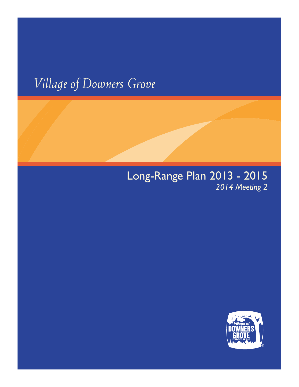# *Village of Downers Grove*

# Long-Range Plan 2013 - 2015 *2014 Meeting 2*

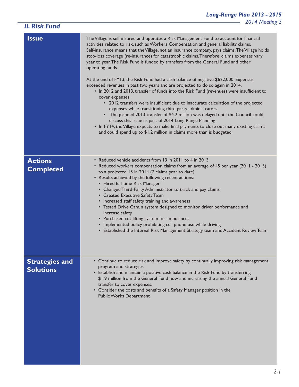| <b>II. Risk Fund</b>                      | ZUT4 Meeti                                                                                                                                                                                                                                                                                                                                                                                                                                                                                                                                                                                                                                                                                                                                                                                                                                                                                                                                                                                                                                                                                                                                                                                                                                             |
|-------------------------------------------|--------------------------------------------------------------------------------------------------------------------------------------------------------------------------------------------------------------------------------------------------------------------------------------------------------------------------------------------------------------------------------------------------------------------------------------------------------------------------------------------------------------------------------------------------------------------------------------------------------------------------------------------------------------------------------------------------------------------------------------------------------------------------------------------------------------------------------------------------------------------------------------------------------------------------------------------------------------------------------------------------------------------------------------------------------------------------------------------------------------------------------------------------------------------------------------------------------------------------------------------------------|
| <b>Issue</b>                              | The Village is self-insured and operates a Risk Management Fund to account for financial<br>activities related to risk, such as Workers Compensation and general liability claims.<br>Self-insurance means that the Village, not an insurance company, pays claims. The Village holds<br>stop-loss coverage (re-insurance) for catastrophic claims. Therefore, claims expenses vary<br>year to year. The Risk Fund is funded by transfers from the General Fund and other<br>operating funds.<br>At the end of FY13, the Risk Fund had a cash balance of negative \$622,000. Expenses<br>exceeded revenues in past two years and are projected to do so again in 2014.<br>. In 2012 and 2013, transfer of funds into the Risk Fund (revenues) were insufficient to<br>cover expenses.<br>• 2012 transfers were insufficient due to inaccurate calculation of the projected<br>expenses while transitioning third party administrators<br>• The planned 2013 transfer of \$4.2 million was delayed until the Council could<br>discuss this issue as part of 2014 Long Range Planning<br>• In FY14, the Village expects to make final payments to close out many existing claims<br>and could spend up to \$1.2 million in claims more than is budgeted. |
| <b>Actions</b><br><b>Completed</b>        | • Reduced vehicle accidents from 13 in 2011 to 4 in 2013<br>• Reduced workers compensation claims from an average of 45 per year (2011 - 2013)<br>to a projected 15 in 2014 (7 claims year to date)<br>• Results achieved by the following recent actions:<br>• Hired full-time Risk Manager<br>• Changed Third-Party Administrator to track and pay claims<br>• Created Executive Safety Team<br>• Increased staff safety training and awareness<br>• Tested Drive Cam, a system designed to monitor driver performance and<br>increase safety<br>• Purchased cot lifting system for ambulances<br>• Implemented policy prohibiting cell phone use while driving<br>• Established the Internal Risk Management Strategy team and Accident Review Team                                                                                                                                                                                                                                                                                                                                                                                                                                                                                                 |
| <b>Strategies and</b><br><b>Solutions</b> | • Continue to reduce risk and improve safety by continually improving risk management<br>program and strategies<br>• Establish and maintain a positive cash balance in the Risk Fund by transferring<br>\$1.9 million from the General Fund now and increasing the annual General Fund<br>transfer to cover expenses.<br>• Consider the costs and benefits of a Safety Manager position in the<br><b>Public Works Department</b>                                                                                                                                                                                                                                                                                                                                                                                                                                                                                                                                                                                                                                                                                                                                                                                                                       |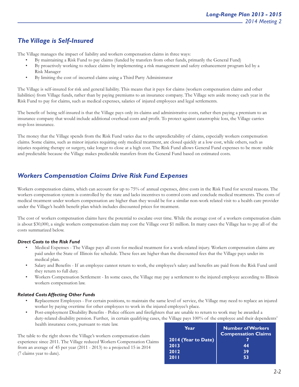### *The Village is Self-Insured*

The Village manages the impact of liability and workers compensation claims in three ways:

- By maintaining a Risk Fund to pay claims (funded by transfers from other funds, primarily the General Fund)
- By proactively working to reduce claims by implementing a risk management and safety enhancement program led by a Risk Manager
- By limiting the cost of incurred claims using a Third Party Administrator

The Village is self-insured for risk and general liability. This means that it pays for claims (workers compensation claims and other liabilities) from Village funds, rather than by paying premiums to an insurance company. The Village sets aside money each year in the Risk Fund to pay for claims, such as medical expenses, salaries of injured employees and legal settlements.

The benefit of being self-insured is that the Village pays only its claims and administrative costs, rather then paying a premium to an insurance company that would include additional overhead costs and profit. To protect against catastrophic loss, the Village carries stop-loss insurance.

The money that the Village spends from the Risk Fund varies due to the unpredictability of claims, especially workers compensation claims. Some claims, such as minor injuries requiring only medical treatment, are closed quickly at a low cost, while others, such as injuries requiring therapy or surgery, take longer to close at a high cost. The Risk Fund allows General Fund expenses to be more stable and predictable because the Village makes predictable transfers from the General Fund based on estimated costs.

#### *Workers Compensation Claims Drive Risk Fund Expenses*

Workers compensation claims, which can account for up to 75% of annual expenses, drive costs in the Risk Fund for several reasons. The workers compensation system is controlled by the state and lacks incentives to control costs and conclude medical treatments. The costs of medical treatment under workers compensation are higher than they would be for a similar non-work related visit to a health care provider under the Village's health benefit plan which includes discounted prices for treatment.

The cost of workers compensation claims have the potential to escalate over time. While the average cost of a workers compensation claim is about \$30,000, a single workers compensation claim may cost the Village over \$1 million. In many cases the Village has to pay all of the costs summarized below.

#### *Direct Costs to the Risk Fund*

- Medical Expenses The Village pays all costs for medical treatment for a work-related injury. Workers compensation claims are paid under the State of Illinois fee schedule. These fees are higher than the discounted fees that the Village pays under its medical plan.
- Salary and Benefits If an employee cannot return to work, the employee's salary and benefits are paid from the Risk Fund until they return to full duty.
- Workers Compensation Settlement In some cases, the Village may pay a settlement to the injured employee according to Illinois workers compensation law.

#### *Related Costs Affecting Other Funds*

- Replacement Employees For certain positions, to maintain the same level of service, the Village may need to replace an injured worker by paying overtime for other employees to work in the injured employee's place.
- Post-employment Disability Benefits Police officers and firefighters that are unable to return to work may be awarded a duty-related disability pension. Further, in certain qualifying cases, the Village pays 100% of the employee and their dependents' health insurance costs, pursuant to state law.

The table to the right shows the Village's workers compensation claim experience since 2011. The Village reduced Workers Compensation Claims from an average of 45 per year (2011 - 2013) to a projected 15 in 2014 (7 claims year to date).

| Year                | <b>Number of Workers</b><br><b>Compensation Claims</b> |
|---------------------|--------------------------------------------------------|
| 2014 (Year to Date) |                                                        |
| 2013                | 44                                                     |
| 2012                | 39                                                     |
| <b>2011</b>         | 53                                                     |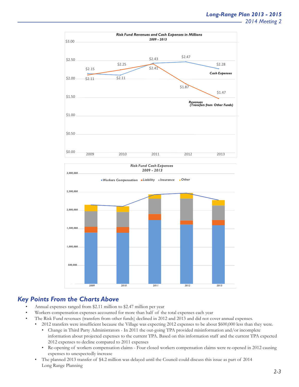



#### *Key Points From the Charts Above*

- Annual expenses ranged from \$2.11 million to \$2.47 million per year
- Workers compensation expenses accounted for more than half of the total expenses each year
- The Risk Fund revenues (transfers from other funds) declined in 2012 and 2013 and did not cover annual expenses.
- 2012 transfers were insufficient because the Village was expecting 2012 expenses to be about \$600,000 less than they were.
	- Change in Third Party Administrators In 2011 the out-going TPA provided misinformation and/or incomplete information about projected expenses to the current TPA. Based on this information staff and the current TPA expected 2012 expenses to decline compared to 2011 expenses
	- Re-opening of workers compensation claims Four closed workers compensation claims were re-opened in 2012 causing expenses to unexpectedly increase
	- The planned 2013 transfer of \$4.2 million was delayed until the Council could discuss this issue as part of 2014 Long Range Planning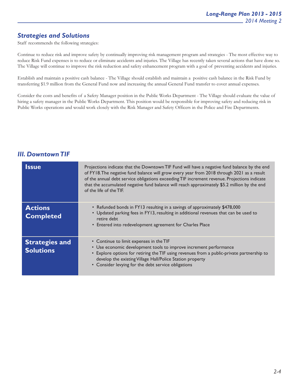#### *Strategies and Solutions*

Staff recommends the following strategies:

Continue to reduce risk and improve safety by continually improving risk management program and strategies - The most effective way to reduce Risk Fund expenses is to reduce or eliminate accidents and injuries. The Village has recently taken several actions that have done so. The Village will continue to improve the risk reduction and safety enhancement program with a goal of preventing accidents and injuries.

Establish and maintain a positive cash balance - The Village should establish and maintain a positive cash balance in the Risk Fund by transferring \$1.9 million from the General Fund now and increasing the annual General Fund transfer to cover annual expenses.

Consider the costs and benefits of a Safety Manager position in the Public Works Department - The Village should evaluate the value of hiring a safety manager in the Public Works Department. This position would be responsible for improving safety and reducing risk in Public Works operations and would work closely with the Risk Manager and Safety Officers in the Police and Fire Departments.

#### *III. Downtown TIF*

| <b>Issue</b>                              | Projections indicate that the Downtown TIF Fund will have a negative fund balance by the end<br>of FY18. The negative fund balance will grow every year from 2018 through 2021 as a result<br>of the annual debt service obligations exceeding TIF increment revenue. Projections indicate<br>that the accumulated negative fund balance will reach approximately \$5.2 million by the end<br>of the life of the TIF. |
|-------------------------------------------|-----------------------------------------------------------------------------------------------------------------------------------------------------------------------------------------------------------------------------------------------------------------------------------------------------------------------------------------------------------------------------------------------------------------------|
| <b>Actions</b><br><b>Completed</b>        | • Refunded bonds in FY13 resulting in a savings of approximately \$478,000<br>• Updated parking fees in FY13, resulting in additional revenues that can be used to<br>retire debt<br>• Entered into redevelopment agreement for Charles Place                                                                                                                                                                         |
| <b>Strategies and</b><br><b>Solutions</b> | • Continue to limit expenses in the TIF<br>• Use economic development tools to improve increment performance<br>• Explore options for retiring the TIF using revenues from a public-private partnership to<br>develop the existing Village Hall/Police Station property<br>• Consider levying for the debt service obligations                                                                                        |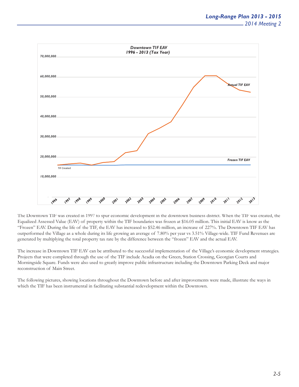

The Downtown TIF was created in 1997 to spur economic development in the downtown business district. When the TIF was created, the Equalized Assessed Value (EAV) of property within the TIF boundaries was frozen at \$16.05 million. This initial EAV is know as the "Frozen" EAV. During the life of the TIF, the EAV has increased to \$52.46 million, an increase of 227%. The Downtown TIF EAV has outperformed the Village as a whole during its life growing an average of 7.80% per year vs 3.51% Village-wide. TIF Fund Revenues are generated by multiplying the total property tax rate by the difference between the "frozen" EAV and the actual EAV.

The increase in Downtown TIF EAV can be attributed to the successful implementation of the Village's economic development strategies. Projects that were completed through the use of the TIF include Acadia on the Green, Station Crossing, Georgian Courts and Morningside Square. Funds were also used to greatly improve public infrastructure including the Downtown Parking Deck and major reconstruction of Main Street.

The following pictures, showing locations throughout the Downtown before and after improvements were made, illustrate the ways in which the TIF has been instrumental in facilitating substantial redevelopment within the Downtown.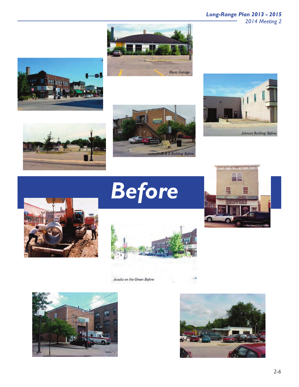## *Long-Range Plan 2013 - 2015*

*2014 Meeting 2*















*Before*



Acadia on the Green Before



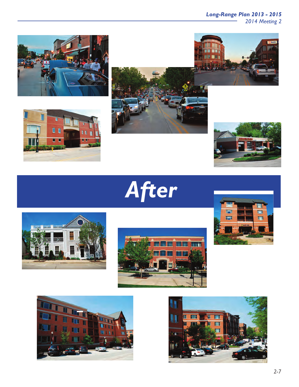*Long-Range Plan 2013 - 2015*

*2014 Meeting 2*



















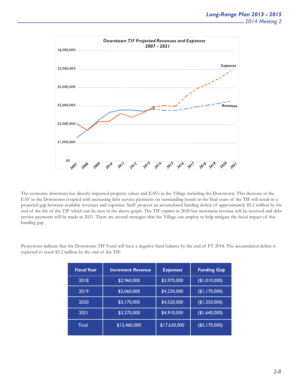

The economic downturn has directly impacted property values and EAVs in the Village including the Downtown. This decrease in the EAV in the Downtown coupled with increasing debt service payments on outstanding bonds in the final years of the TIF will result in a projected gap between available revenues and expenses. Staff projects an accumulated funding deficit of approximately \$5.2 million by the end of the life of the TIF which can be seen in the above graph. The TIF expires in 2020 but increment revenue will be received and debt service payments will be made in 2021. There are several strategies that the Village can employ to help mitigate the fiscal impact of this funding gap.

Projections indicate that the Downtown TIF Fund will have a negative fund balance by the end of FY 2018. The accumulated deficit is expected to reach \$5.2 million by the end of the TIF.

| <b>Fiscal Year</b> | <b>Increment Revenue</b> | <b>Expenses</b> | <b>Funding Gap</b> |
|--------------------|--------------------------|-----------------|--------------------|
| 2018               | \$2,960,000              | \$3,970,000     | (1,010,000)        |
| 2019               | \$3,060,000              | \$4,230,000     | (\$I, I70,000)     |
| 2020               | \$3,170,000              | \$4,520,000     | (\$1,350,000)      |
| 2021               | \$3,270,000              | \$4,910,000     | (\$1,640,000)      |
| Total              | \$12,460,000             | \$17,630,000    | (\$5,170,000)      |